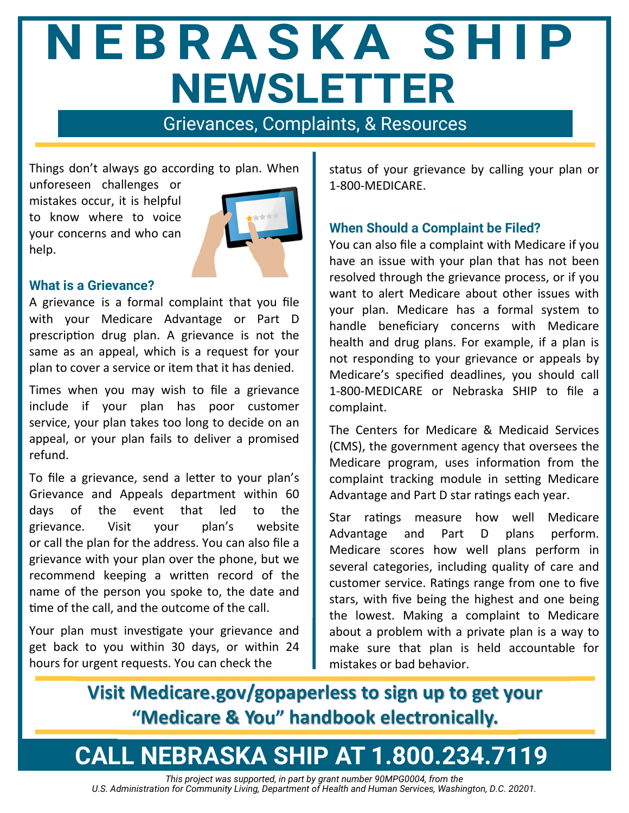# NEBRASKA SHIP **NEWSLETTER**

Grievances, Complaints, & Resources

Things don't always go according to plan. When

unforeseen challenges or mistakes occur, it is helpful to know where to voice your concerns and who can help.



## **What is a Grievance?**

A grievance is a formal complaint that you file with your Medicare Advantage or Part D prescription drug plan. A grievance is not the same as an appeal, which is a request for your plan to cover a service or item that it has denied.

Times when you may wish to file a grievance include if your plan has poor customer service, your plan takes too long to decide on an appeal, or your plan fails to deliver a promised refund.

To file a grievance, send a letter to your plan's Grievance and Appeals department within 60 days of the event that led to the grievance. Visit your plan's website or call the plan for the address. You can also file a grievance with your plan over the phone, but we recommend keeping a written record of the name of the person you spoke to, the date and time of the call, and the outcome of the call.

Your plan must investigate your grievance and get back to you within 30 days, or within 24 hours for urgent requests. You can check the

status of your grievance by calling your plan or 1‐800‐MEDICARE.

# **When Should a Complaint be Filed?**

You can also file a complaint with Medicare if you have an issue with your plan that has not been resolved through the grievance process, or if you want to alert Medicare about other issues with your plan. Medicare has a formal system to handle beneficiary concerns with Medicare health and drug plans. For example, if a plan is not responding to your grievance or appeals by Medicare's specified deadlines, you should call 1‐800‐MEDICARE or Nebraska SHIP to file a complaint.

The Centers for Medicare & Medicaid Services (CMS), the government agency that oversees the Medicare program, uses information from the complaint tracking module in setting Medicare Advantage and Part D star ratings each year.

Star ratings measure how well Medicare Advantage and Part D plans perform. Medicare scores how well plans perform in several categories, including quality of care and customer service. Ratings range from one to five stars, with five being the highest and one being the lowest. Making a complaint to Medicare about a problem with a private plan is a way to make sure that plan is held accountable for mistakes or bad behavior.

**Visit Medicare.gov/gopaperless to sign up to get your "Medicare & You" handbook electronically.**

# **CALL NEBRASKA SHIP AT 1.800.234.7119**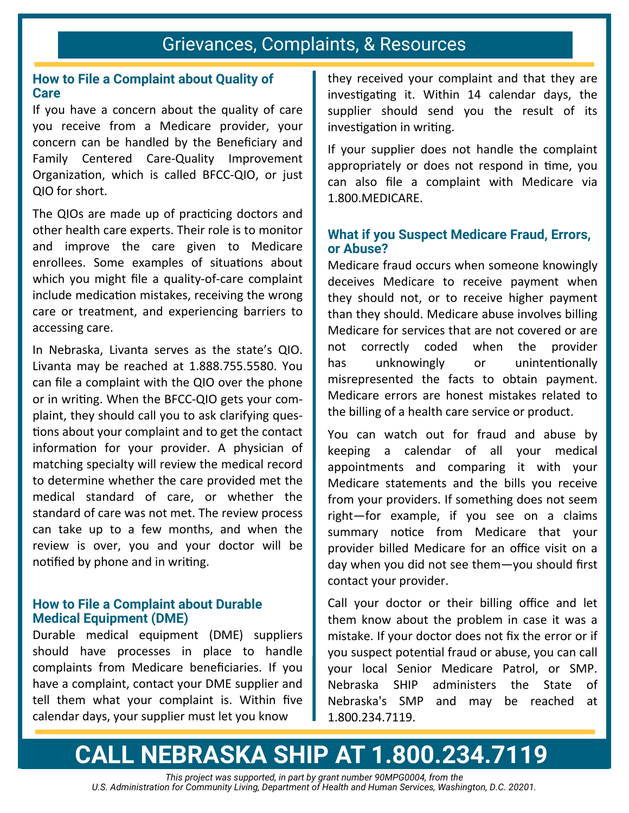# Grievances, Complaints, & Resources

# **How to File a Complaint about Quality of Care**

If you have a concern about the quality of care you receive from a Medicare provider, your concern can be handled by the Beneficiary and Family Centered Care‐Quality Improvement Organization, which is called BFCC-QIO, or just QIO for short.

The QIOs are made up of practicing doctors and other health care experts. Their role is to monitor and improve the care given to Medicare enrollees. Some examples of situations about which you might file a quality-of-care complaint include medication mistakes, receiving the wrong care or treatment, and experiencing barriers to accessing care.

In Nebraska, Livanta serves as the state's QIO. Livanta may be reached at 1.888.755.5580. You can file a complaint with the QIO over the phone or in writing. When the BFCC-QIO gets your complaint, they should call you to ask clarifying ques‐ tions about your complaint and to get the contact information for your provider. A physician of matching specialty will review the medical record to determine whether the care provided met the medical standard of care, or whether the standard of care was not met. The review process can take up to a few months, and when the review is over, you and your doctor will be notified by phone and in writing.

### **How to File a Complaint about Durable Medical Equipment (DME)**

Durable medical equipment (DME) suppliers should have processes in place to handle complaints from Medicare beneficiaries. If you have a complaint, contact your DME supplier and tell them what your complaint is. Within five calendar days, your supplier must let you know

they received your complaint and that they are investigating it. Within 14 calendar days, the supplier should send you the result of its investigation in writing.

If your supplier does not handle the complaint appropriately or does not respond in time, you can also file a complaint with Medicare via 1.800.MEDICARE.

# **What if you Suspect Medicare Fraud, Errors, or Abuse?**

Medicare fraud occurs when someone knowingly deceives Medicare to receive payment when they should not, or to receive higher payment than they should. Medicare abuse involves billing Medicare for services that are not covered or are not correctly coded when the provider has unknowingly or unintentionally misrepresented the facts to obtain payment. Medicare errors are honest mistakes related to the billing of a health care service or product.

You can watch out for fraud and abuse by keeping a calendar of all your medical appointments and comparing it with your Medicare statements and the bills you receive from your providers. If something does not seem right—for example, if you see on a claims summary notice from Medicare that your provider billed Medicare for an office visit on a day when you did not see them—you should first contact your provider.

Call your doctor or their billing office and let them know about the problem in case it was a mistake. If your doctor does not fix the error or if you suspect potential fraud or abuse, you can call your local Senior Medicare Patrol, or SMP. Nebraska SHIP administers the State of Nebraska's SMP and may be reached at 1.800.234.7119.

# **CALL NEBRASKA SHIP AT 1.800.234.7119**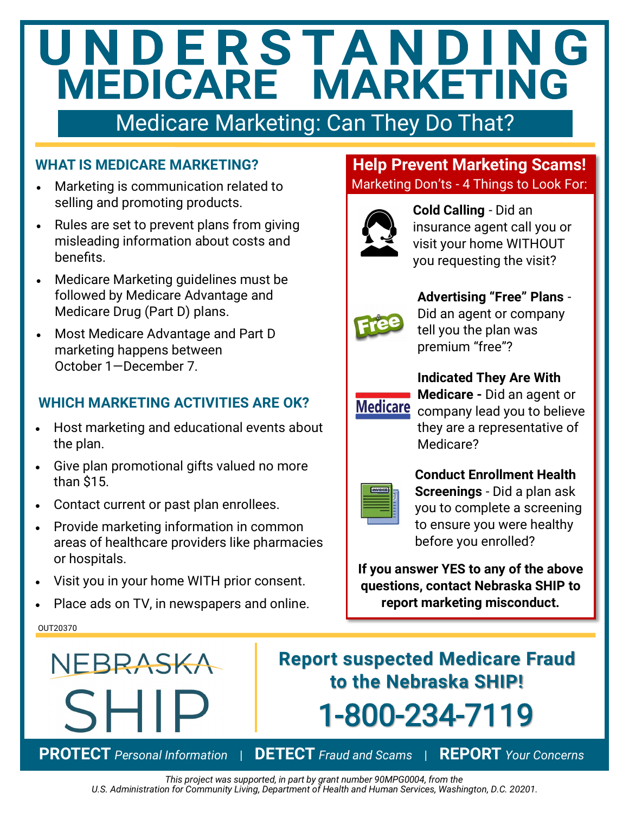# UNDERSTANDING<br>MEDICARE MARKETING

# Medicare Marketing: Can They Do That?

# **WHAT IS MEDICARE MARKETING?**

- Marketing is communication related to selling and promoting products.
- Rules are set to prevent plans from giving misleading information about costs and benefits.
- Medicare Marketing guidelines must be followed by Medicare Advantage and Medicare Drug (Part D) plans.
- Most Medicare Advantage and Part D marketing happens between October 1—December 7.

# **WHICH MARKETING ACTIVITIES ARE OK?**

- Host marketing and educational events about the plan.
- Give plan promotional gifts valued no more than \$15.
- Contact current or past plan enrollees.
- Provide marketing information in common areas of healthcare providers like pharmacies or hospitals.
- Visit you in your home WITH prior consent.
- Place ads on TV, in newspapers and online.

# **Help Prevent Marketing Scams!**  Marketing Don'ts - 4 Things to Look For:



**Cold Calling** - Did an insurance agent call you or visit your home WITHOUT you requesting the visit?



# **Advertising "Free" Plans** -

Did an agent or company tell you the plan was premium "free"?



**Indicated They Are With**

**Medicare -** Did an agent or Medicare company lead you to believe they are a representative of Medicare?

**Conduct Enrollment Health Screenings** - Did a plan ask you to complete a screening to ensure you were healthy before you enrolled?

**If you answer YES to any of the above questions, contact Nebraska SHIP to report marketing misconduct.**

### OUT20370



**Report suspected Medicare Fraud to the Nebraska SHIP!** 1-800-234-7119

**PROTECT** *Personal Information* | **DETECT** *Fraud and Scams* | **REPORT** *Your Concerns*